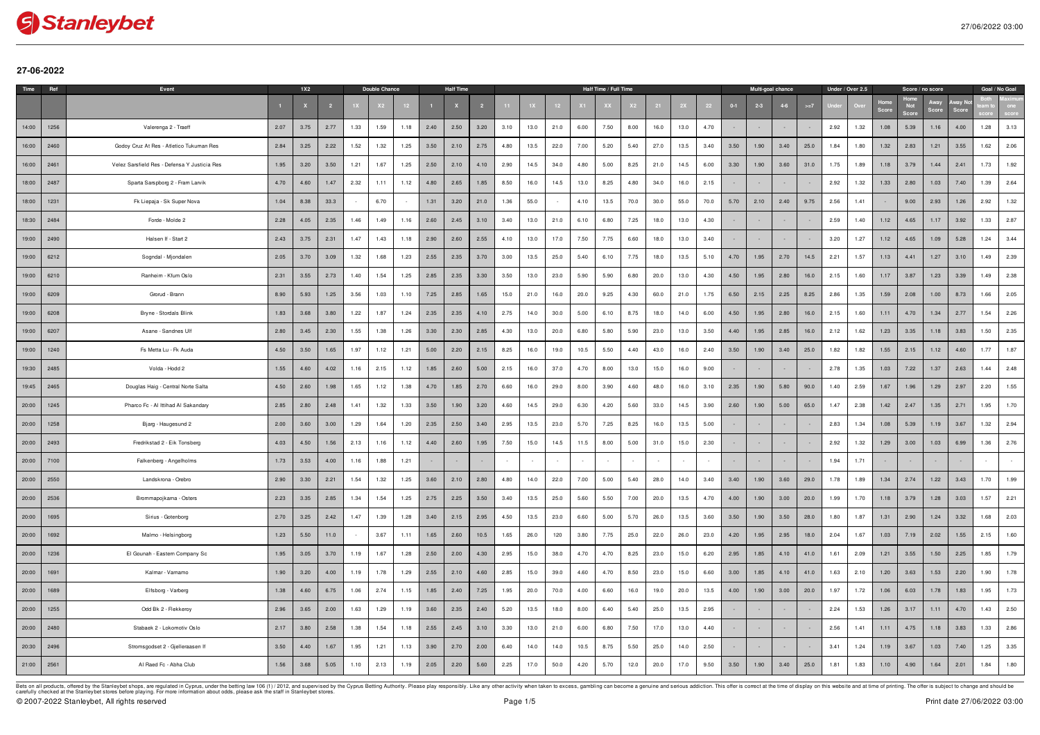

## **27-06-2022**

| Time  | Ref  | Event                                        |      | <b>1X2</b> |      |      | Double Chance |      |      | <b>Half Time</b> |      |      |      |      |      | Half Time / Full Time |      |      |      |      |       | Multi-goal chance |         |       |      | Under / Over 2.5 |      | Score / no score |      |      | Goal / No Goal |      |
|-------|------|----------------------------------------------|------|------------|------|------|---------------|------|------|------------------|------|------|------|------|------|-----------------------|------|------|------|------|-------|-------------------|---------|-------|------|------------------|------|------------------|------|------|----------------|------|
|       |      |                                              |      |            |      |      |               |      |      |                  |      |      |      |      |      |                       |      |      |      |      | $0-1$ | $2 - 3$           | $4 - 6$ | $>=7$ |      |                  | Scor | <b>Not</b>       |      |      |                |      |
| 14:00 | 1256 | Valerenga 2 - Traeff                         | 2.07 | 3.75       | 2.77 | 1.33 | 1.59          | 1.18 | 2.40 | 2.50             | 3.20 | 3.10 | 13.0 | 21.0 | 6.00 | 7.50                  | 8.00 | 16.0 | 13.0 | 4.70 |       |                   |         |       | 2.92 | 1.32             | 1.08 | 5.39             | 1.16 | 4.00 | 1.28           | 3.13 |
| 16:00 | 2460 | Godoy Cruz At Res - Atletico Tukuman Res     | 2.84 | 3.25       | 2.22 | 1.52 | 1.32          | 1.25 | 3.50 | 2.10             | 2.75 | 4.80 | 13.5 | 22.0 | 7.00 | 5.20                  | 5.40 | 27.0 | 13.5 | 3.40 | 3.50  | 1.90              | 3.40    | 25.0  | 1.84 | 1.80             | 1.32 | 2.83             | 1.21 | 3.55 | 1.62           | 2.06 |
| 16:00 | 2461 | Velez Sarsfield Res - Defensa Y Justicia Res | 1.95 | 3.20       | 3.50 | 1.21 | 1.67          | 1.25 | 2.50 | 2.10             | 4.10 | 2.90 | 14.5 | 34.0 | 4.80 | 5.00                  | 8.25 | 21.0 | 14.5 | 6.00 | 3.30  | 1.90              | 3.60    | 31.0  | 1.75 | 1.89             | 1.18 | 3.79             | 1.44 | 2.41 | 1.73           | 1.92 |
| 18:00 | 2487 | Sparta Sarspborg 2 - Fram Larvik             | 4.70 | 4.60       | 1.47 | 2.32 | 1.11          | 1.12 | 4.80 | 2.65             | 1.85 | 8.50 | 16.0 | 14.5 | 13.0 | 8.25                  | 4.80 | 34.0 | 16.0 | 2.15 |       |                   |         |       | 2.92 | 1.32             | 1.33 | 2.80             | 1.03 | 7.40 | 1.39           | 2.64 |
| 18:00 | 1231 | Fk Liepaja - Sk Super Nova                   | 1.04 | 8.38       | 33.3 |      | 6.70          |      | 1.31 | 3.20             | 21.0 | 1.36 | 55.0 |      | 4.10 | 13.5                  | 70.0 | 30.0 | 55.0 | 70.0 | 5.70  | 2.10              | 2.40    | 9.75  | 2.56 | 1.41             |      | 9.00             | 2.93 | 1.26 | 2.92           | 1.32 |
| 18:30 | 2484 | Forde - Molde 2                              | 2.28 | 4.05       | 2.35 | 1.46 | 1.49          | 1.16 | 2.60 | 2.45             | 3.10 | 3.40 | 13.0 | 21.0 | 6.10 | 6.80                  | 7.25 | 18.0 | 13.0 | 4.30 |       |                   |         |       | 2.59 | 1.40             | 1.12 | 4.65             | 1.17 | 3.92 | 1.33           | 2.87 |
| 19:00 | 2490 | Halsen If - Start 2                          | 2.43 | 3.75       | 2.31 | 1.47 | 1.43          | 1.18 | 2.90 | 2.60             | 2.55 | 4.10 | 13.0 | 17.0 | 7.50 | 7.75                  | 6.60 | 18.0 | 13.0 | 3.40 |       |                   |         |       | 3.20 | 1.27             | 1.12 | 4.65             | 1.09 | 5.28 | 1.24           | 3.44 |
| 19:00 | 6212 | Sogndal - Mjondalen                          | 2.05 | 3.70       | 3.09 | 1.32 | 1.68          | 1.23 | 2.55 | 2.35             | 3.70 | 3.00 | 13.5 | 25.0 | 5.40 | 6.10                  | 7.75 | 18.0 | 13.5 | 5.10 | 4.70  | 1.95              | 2.70    | 14.5  | 2.21 | 1.57             | 1.13 | 4.41             | 1.27 | 3.10 | 1.49           | 2.39 |
| 19:00 | 6210 | Ranheim - Kfum Oslo                          | 2.31 | 3.55       | 2.73 | 1.40 | 1.54          | 1.25 | 2.85 | 2.35             | 3.30 | 3.50 | 13.0 | 23.0 | 5.90 | 5.90                  | 6.80 | 20.0 | 13.0 | 4.30 | 4.50  | 1.95              | 2.80    | 16.0  | 2.15 | 1.60             | 1.17 | 3.87             | 1.23 | 3.39 | 1.49           | 2.38 |
| 19:00 | 6209 | Grorud - Brann                               | 8.90 | 5.93       | 1.25 | 3.56 | 1.03          | 1.10 | 7.25 | 2.85             | 1.65 | 15.0 | 21.0 | 16.0 | 20.0 | 9.25                  | 4.30 | 60.0 | 21.0 | 1.75 | 6.50  | 2.15              | 2.25    | 8.25  | 2.86 | 1.35             | 1.59 | 2.08             | 1.00 | 8.73 | 1.66           | 2.05 |
| 19:00 | 6208 | Bryne - Stordals Blink                       | 1.83 | 3.68       | 3.80 | 1.22 | 1.87          | 1.24 | 2.35 | 2.35             | 4.10 | 2.75 | 14.0 | 30.0 | 5.00 | 6.10                  | 8.75 | 18.0 | 14.0 | 6.00 | 4.50  | 1.95              | 2.80    | 16.0  | 2.15 | 1.60             | 1.11 | 4.70             | 1.34 | 2.77 | 1.54           | 2.26 |
| 19:00 | 6207 | Asane - Sandnes Ulf                          | 2.80 | 3.45       | 2.30 | 1.55 | 1.38          | 1.26 | 3.30 | 2.30             | 2.85 | 4.30 | 13.0 | 20.0 | 6.80 | 5.80                  | 5.90 | 23.0 | 13.0 | 3.50 | 4.40  | 1.95              | 2.85    | 16.0  | 2.12 | 1.62             | 1.23 | 3.35             | 1.18 | 3.83 | 1.50           | 2.35 |
| 19:00 | 1240 | Fs Metta Lu - Fk Auda                        | 4.50 | 3.50       | 1.65 | 1.97 | 1.12          | 1.21 | 5.00 | 2.20             | 2.15 | 8.25 | 16.0 | 19.0 | 10.5 | 5.50                  | 4.40 | 43.0 | 16.0 | 2.40 | 3.50  | 1.90              | 3.40    | 25.0  | 1.82 | 1.82             | 1.55 | 2.15             | 1.12 | 4.60 | 1.77           | 1.87 |
| 19:30 | 2485 | Volda - Hodd 2                               | 1.55 | 4.60       | 4.02 | 1.16 | 2.15          | 1.12 | 1.85 | 2.60             | 5.00 | 2.15 | 16.0 | 37.0 | 4.70 | 8.00                  | 13.0 | 15.0 | 16.0 | 9.00 |       |                   |         |       | 2.78 | 1.35             | 1.03 | 7.22             | 1.37 | 2.63 | 1.44           | 2.48 |
| 19:45 | 2465 | Douglas Haig - Central Norte Salta           | 4.50 | 2.60       | 1.98 | 1.65 | 1.12          | 1.38 | 4.70 | 1.85             | 2.70 | 6.60 | 16.0 | 29.0 | 8.00 | 3.90                  | 4.60 | 48.0 | 16.0 | 3.10 | 2.35  | 1.90              | 5.80    | 90.0  | 1.40 | 2.59             | 1.67 | 1.96             | 1.29 | 2.97 | 2.20           | 1.55 |
| 20:00 | 1245 | Pharco Fc - Al Ittihad Al Sakandary          | 2.85 | 2.80       | 2.48 | 1.41 | 1.32          | 1.33 | 3.50 | 1.90             | 3.20 | 4.60 | 14.5 | 29.0 | 6.30 | 4.20                  | 5.60 | 33.0 | 14.5 | 3.90 | 2.60  | 1.90              | 5.00    | 65.0  | 1.47 | 2.38             | 1.42 | 2.47             | 1.35 | 2.71 | 1.95           | 1.70 |
| 20:00 | 1258 | Bjarg - Haugesund 2                          | 2.00 | 3.60       | 3.00 | 1.29 | 1.64          | 1.20 | 2.35 | 2.50             | 3.40 | 2.95 | 13.5 | 23.0 | 5.70 | 7.25                  | 8.25 | 16.0 | 13.5 | 5.00 |       |                   |         |       | 2.83 | 1.34             | 1.08 | 5.39             | 1.19 | 3.67 | 1.32           | 2.94 |
| 20:00 | 2493 | Fredrikstad 2 - Eik Tonsberg                 | 4.03 | 4.50       | 1.56 | 2.13 | 1.16          | 1.12 | 4.40 | 2.60             | 1.95 | 7.50 | 15.0 | 14.5 | 11.5 | 8.00                  | 5.00 | 31.0 | 15.0 | 2.30 |       |                   |         |       | 2.92 | 1.32             | 1.29 | 3.00             | 1.03 | 6.99 | 1.36           | 2.76 |
| 20:00 | 7100 | Falkenberg - Angelholms                      | 1.73 | 3.53       | 4.00 | 1.16 | 1.88          | 1.21 |      |                  |      |      |      |      |      |                       |      |      |      |      |       |                   |         |       | 1.94 | 1.71             |      |                  |      |      |                |      |
| 20:00 | 2550 | Landskrona - Orebro                          | 2.90 | 3.30       | 2.21 | 1.54 | 1.32          | 1.25 | 3.60 | 2.10             | 2.80 | 4.80 | 14.0 | 22.0 | 7.00 | 5.00                  | 5.40 | 28.0 | 14.0 | 3.40 | 3.40  | 1.90              | 3.60    | 29.0  | 1.78 | 1.89             | 1.34 | 2.74             | 1.22 | 3.43 | 1.70           | 1.99 |
| 20:00 | 2536 | Brommapojkarna - Osters                      | 2.23 | 3.35       | 2.85 | 1.34 | 1.54          | 1.25 | 2.75 | 2.25             | 3.50 | 3.40 | 13.5 | 25.0 | 5.60 | 5.50                  | 7.00 | 20.0 | 13.5 | 4.70 | 4.00  | 1.90              | 3.00    | 20.0  | 1.99 | 1.70             | 1.18 | 3.79             | 1.28 | 3.03 | 1.57           | 2.21 |
| 20:00 | 1695 | Sirius - Gotenborg                           | 2.70 | 3.25       | 2.42 | 1.47 | 1.39          | 1.28 | 3.40 | 2.15             | 2.95 | 4.50 | 13.5 | 23.0 | 6.60 | 5.00                  | 5.70 | 26.0 | 13.5 | 3.60 | 3.50  | 1.90              | 3.50    | 28.0  | 1.80 | 1.87             | 1.31 | 2.90             | 1.24 | 3.32 | 1.68           | 2.03 |
| 20:00 | 1692 | Malmo - Helsingborg                          | 1.23 | 5.50       | 11.0 |      | 3.67          | 1.11 | 1.65 | 2.60             | 10.5 | 1.65 | 26.0 | 120  | 3.80 | 7.75                  | 25.0 | 22.0 | 26.0 | 23.0 | 4.20  | 1.95              | 2.95    | 18.0  | 2.04 | 1.67             | 1.03 | 7.19             | 2.02 | 1.55 | 2.15           | 1.60 |
| 20:00 | 1236 | El Gounah - Eastem Company Sc                | 1.95 | 3.05       | 3.70 | 1.19 | 1.67          | 1.28 | 2.50 | 2.00             | 4.30 | 2.95 | 15.0 | 38.0 | 4.70 | 4.70                  | 8.25 | 23.0 | 15.0 | 6.20 | 2.95  | 1.85              | 4.10    | 41.0  | 1.61 | 2.09             | 1.21 | 3.55             | 1.50 | 2.25 | 1.85           | 1.79 |
| 20:00 | 1691 | Kalmar - Varnamo                             | 1.90 | 3.20       | 4.00 | 1.19 | 1.78          | 1.29 | 2.55 | 2.10             | 4.60 | 2.85 | 15.0 | 39.0 | 4.60 | 4.70                  | 8.50 | 23.0 | 15.0 | 6.60 | 3.00  | 1.85              | 4.10    | 41.0  | 1.63 | 2.10             | 1.20 | 3.63             | 1.53 | 2.20 | 1.90           | 1.78 |
| 20:00 | 1689 | Elfsborg - Varberg                           | 1.38 | 4.60       | 6.75 | 1.06 | 2.74          | 1.15 | 1.85 | 2.40             | 7.25 | 1.95 | 20.0 | 70.0 | 4.00 | 6.60                  | 16.0 | 19.0 | 20.0 | 13.5 | 4.00  | 1.90              | 3.00    | 20.0  | 1.97 | 1.72             | 1.06 | 6.03             | 1.78 | 1.83 | 1.95           | 1.73 |
| 20:00 | 1255 | Odd Bk 2 - Flekkeroy                         | 2.96 | 3.65       | 2.00 | 1.63 | 1.29          | 1.19 | 3.60 | 2.35             | 2.40 | 5.20 | 13.5 | 18.0 | 8.00 | 6.40                  | 5.40 | 25.0 | 13.5 | 2.95 |       |                   |         |       | 2.24 | 1.53             | 1.26 | 3.17             | 1.11 | 4.70 | 1.43           | 2.50 |
| 20:00 | 2480 | Stabaek 2 - Lokomotiv Oslo                   | 2.17 | 3.80       | 2.58 | 1.38 | 1.54          | 1.18 | 2.55 | 2.45             | 3.10 | 3.30 | 13.0 | 21.0 | 6.00 | 6.80                  | 7.50 | 17.0 | 13.0 | 4.40 |       |                   |         |       | 2.56 | 1.41             | 1.11 | 4.75             | 1.18 | 3.83 | 1.33           | 2.86 |
| 20:30 | 2496 | Stromsgodset 2 - Gjelleraasen If             | 3.50 | 4.40       | 1.67 | 1.95 | 1.21          | 1.13 | 3.90 | 2.70             | 2.00 | 6.40 | 14.0 | 14.0 | 10.5 | 8.75                  | 5.50 | 25.0 | 14.0 | 2.50 |       |                   |         |       | 3.41 | 1.24             | 1.19 | 3.67             | 1.03 | 7.40 | 1.25           | 3.35 |
| 21:00 | 2561 | Al Raed Fc - Abha Club                       | 1.56 | 3.68       | 5.05 | 1.10 | 2.13          | 1.19 | 2.05 | 2.20             | 5.60 | 2.25 | 17.0 | 50.0 | 4.20 | 5.70                  | 12.0 | 20.0 | 17.0 | 9.50 | 3.50  | 1.90              | 3.40    | 25.0  | 1.81 | 1.83             | 1.10 | 4.90             | 1.64 | 2.01 | 1.84           | 1.80 |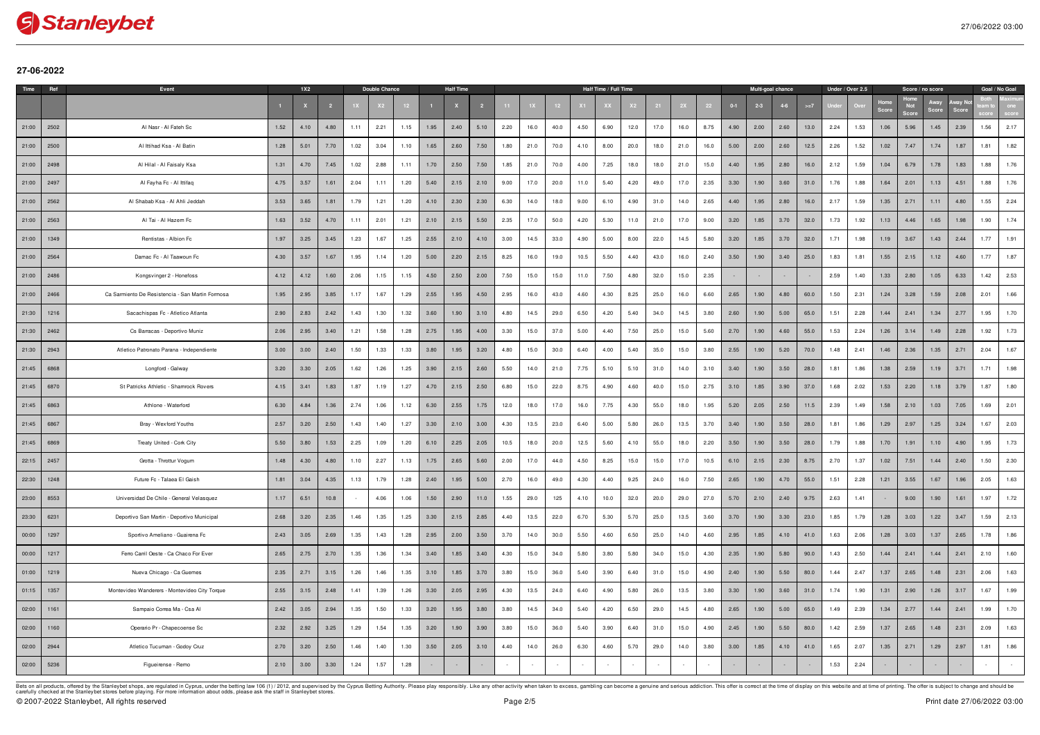

## **27-06-2022**

| Time  | Ref  | Event                                            |      | <b>1X2</b> |      |      | Double Chance |      |      | <b>Half Time</b> |      |      |      |      |      | Half Time / Full Time |      |      |      |      |       | Multi-goal chance |         |       |      | Under / Over 2.5 |      | Score / no score |      |      | Goal / No Goal |      |
|-------|------|--------------------------------------------------|------|------------|------|------|---------------|------|------|------------------|------|------|------|------|------|-----------------------|------|------|------|------|-------|-------------------|---------|-------|------|------------------|------|------------------|------|------|----------------|------|
|       |      |                                                  |      |            |      |      |               |      |      |                  |      |      |      |      |      |                       |      |      |      |      | $0-1$ | $2 - 3$           | $4 - 6$ | $>=7$ |      |                  | Scor | <b>Not</b>       |      |      |                |      |
| 21:00 | 2502 | Al Nasr - Al Fateh Sc                            | 1.52 | 4.10       | 4.80 | 1.11 | 2.21          | 1.15 | 1.95 | 2.40             | 5.10 | 2.20 | 16.0 | 40.0 | 4.50 | 6.90                  | 12.0 | 17.0 | 16.0 | 8.75 | 4.90  | 2.00              | 2.60    | 13.0  | 2.24 | 1.53             | 1.06 | 5.96             | 1.45 | 2.39 | 1.56           | 2.17 |
| 21:00 | 2500 | Al Ittihad Ksa - Al Batin                        | 1.28 | 5.01       | 7.70 | 1.02 | 3.04          | 1.10 | 1.65 | 2.60             | 7.50 | 1.80 | 21.0 | 70.0 | 4.10 | 8.00                  | 20.0 | 18.0 | 21.0 | 16.0 | 5.00  | 2.00              | 2.60    | 12.5  | 2.26 | 1.52             | 1.02 | 7.47             | 1.74 | 1.87 | 1.81           | 1.82 |
| 21:00 | 2498 | Al Hilal - Al Faisaly Ksa                        | 1.31 | 4.70       | 7.45 | 1.02 | 2.88          | 1.11 | 1.70 | 2.50             | 7.50 | 1.85 | 21.0 | 70.0 | 4.00 | 7.25                  | 18.0 | 18.0 | 21.0 | 15.0 | 4.40  | 1.95              | 2.80    | 16.0  | 2.12 | 1.59             | 1.04 | 6.79             | 1.78 | 1.83 | 1.88           | 1.76 |
| 21:00 | 2497 | Al Fayha Fc - Al Ittifaq                         | 4.75 | 3.57       | 1.61 | 2.04 | 1.11          | 1.20 | 5.40 | 2.15             | 2.10 | 9.00 | 17.0 | 20.0 | 11.0 | 5.40                  | 4.20 | 49.0 | 17.0 | 2.35 | 3.30  | 1.90              | 3.60    | 31.0  | 1.76 | 1.88             | 1.64 | 2.01             | 1.13 | 4.51 | 1.88           | 1.76 |
| 21:00 | 2562 | Al Shabab Ksa - Al Ahli Jeddah                   | 3.53 | 3.65       | 1.81 | 1.79 | 1.21          | 1.20 | 4.10 | 2.30             | 2.30 | 6.30 | 14.0 | 18.0 | 9.00 | 6.10                  | 4.90 | 31.0 | 14.0 | 2.65 | 4.40  | 1.95              | 2.80    | 16.0  | 2.17 | 1.59             | 1.35 | 2.71             | 1.11 | 4.80 | 1.55           | 2.24 |
| 21:00 | 2563 | Al Tai - Al Hazem Fc                             | 1.63 | 3.52       | 4.70 | 1.11 | 2.01          | 1.21 | 2.10 | 2.15             | 5.50 | 2.35 | 17.0 | 50.0 | 4.20 | 5.30                  | 11.0 | 21.0 | 17.0 | 9.00 | 3.20  | 1.85              | 3.70    | 32.0  | 1.73 | 1.92             | 1.13 | 4.46             | 1.65 | 1.98 | 1.90           | 1.74 |
| 21:00 | 1349 | Rentistas - Albion Fc                            | 1.97 | 3.25       | 3.45 | 1.23 | 1.67          | 1.25 | 2.55 | 2.10             | 4.10 | 3.00 | 14.5 | 33.0 | 4.90 | 5.00                  | 8.00 | 22.0 | 14.5 | 5.80 | 3.20  | 1.85              | 3.70    | 32.0  | 1.71 | 1.98             | 1.19 | 3.67             | 1.43 | 2.44 | 1.77           | 1.91 |
| 21:00 | 2564 | Damac Fc - Al Taawoun Fc                         | 4.30 | 3.57       | 1.67 | 1.95 | 1.14          | 1.20 | 5.00 | 2.20             | 2.15 | 8.25 | 16.0 | 19.0 | 10.5 | 5.50                  | 4.40 | 43.0 | 16.0 | 2.40 | 3.50  | 1.90              | 3.40    | 25.0  | 1.83 | 1.81             | 1.55 | 2.15             | 1.12 | 4.60 | 1.77           | 1.87 |
| 21:00 | 2486 | Kongsvinger 2 - Honefoss                         | 4.12 | 4.12       | 1.60 | 2.06 | 1.15          | 1.15 | 4.50 | 2.50             | 2.00 | 7.50 | 15.0 | 15.0 | 11.0 | 7.50                  | 4.80 | 32.0 | 15.0 | 2.35 |       |                   |         |       | 2.59 | 1.40             | 1.33 | 2.80             | 1.05 | 6.33 | 1.42           | 2.53 |
| 21:00 | 2466 | Ca Sarmiento De Resistencia - San Martin Formosa | 1.95 | 2.95       | 3.85 | 1.17 | 1.67          | 1.29 | 2.55 | 1.95             | 4.50 | 2.95 | 16.0 | 43.0 | 4.60 | 4.30                  | 8.25 | 25.0 | 16.0 | 6.60 | 2.65  | 1.90              | 4.80    | 60.0  | 1.50 | 2.31             | 1.24 | 3.28             | 1.59 | 2.08 | 2.01           | 1.66 |
| 21:30 | 1216 | Sacachispas Fc - Atletico Atlanta                | 2.90 | 2.83       | 2.42 | 1.43 | 1.30          | 1.32 | 3.60 | 1.90             | 3.10 | 4.80 | 14.5 | 29.0 | 6.50 | 4.20                  | 5.40 | 34.0 | 14.5 | 3.80 | 2.60  | 1.90              | 5.00    | 65.0  | 1.51 | 2.28             | 1.44 | 2.41             | 1.34 | 2.77 | 1.95           | 1.70 |
| 21:30 | 2462 | Cs Barracas - Deportivo Muniz                    | 2.06 | 2.95       | 3.40 | 1.21 | 1.58          | 1.28 | 2.75 | 1.95             | 4.00 | 3.30 | 15.0 | 37.0 | 5.00 | 4.40                  | 7.50 | 25.0 | 15.0 | 5.60 | 2.70  | 1.90              | 4.60    | 55.0  | 1.53 | 2.24             | 1.26 | 3.14             | 1.49 | 2.28 | 1.92           | 1.73 |
| 21:30 | 2943 | Atletico Patronato Parana - Independiente        | 3.00 | 3.00       | 2.40 | 1.50 | 1.33          | 1.33 | 3.80 | 1.95             | 3.20 | 4.80 | 15.0 | 30.0 | 6.40 | 4.00                  | 5.40 | 35.0 | 15.0 | 3.80 | 2.55  | 1.90              | 5.20    | 70.0  | 1.48 | 2.41             | 1.46 | 2.36             | 1.35 | 2.71 | 2.04           | 1.67 |
| 21:45 | 6868 | Longford - Galway                                | 3.20 | 3.30       | 2.05 | 1.62 | 1.26          | 1.25 | 3.90 | 2.15             | 2.60 | 5.50 | 14.0 | 21.0 | 7.75 | 5.10                  | 5.10 | 31.0 | 14.0 | 3.10 | 3.40  | 1.90              | 3.50    | 28.0  | 1.81 | 1.86             | 1.38 | 2.59             | 1.19 | 3.71 | 1.71           | 1.98 |
| 21:45 | 6870 | St Patricks Athletic - Shamrock Rovers           | 4.15 | 3.41       | 1.83 | 1.87 | 1.19          | 1.27 | 4.70 | 2.15             | 2.50 | 6.80 | 15.0 | 22.0 | 8.75 | 4.90                  | 4.60 | 40.0 | 15.0 | 2.75 | 3.10  | 1.85              | 3.90    | 37.0  | 1.68 | 2.02             | 1.53 | 2.20             | 1.18 | 3.79 | 1.87           | 1.80 |
| 21:45 | 6863 | Athlone - Waterford                              | 6.30 | 4.84       | 1.36 | 2.74 | 1.06          | 1.12 | 6.30 | 2.55             | 1.75 | 12.0 | 18.0 | 17.0 | 16.0 | 7.75                  | 4.30 | 55.0 | 18.0 | 1.95 | 5.20  | 2.05              | 2.50    | 11.5  | 2.39 | 1.49             | 1.58 | 2.10             | 1.03 | 7.05 | 1.69           | 2.01 |
| 21:45 | 6867 | Bray - Wexford Youths                            | 2.57 | 3.20       | 2.50 | 1.43 | 1.40          | 1.27 | 3.30 | 2.10             | 3.00 | 4.30 | 13.5 | 23.0 | 6.40 | 5.00                  | 5.80 | 26.0 | 13.5 | 3.70 | 3.40  | 1.90              | 3.50    | 28.0  | 1.81 | 1.86             | 1.29 | 2.97             | 1.25 | 3.24 | 1.67           | 2.03 |
| 21:45 | 6869 | Treaty United - Cork City                        | 5.50 | 3.80       | 1.53 | 2.25 | 1.09          | 1.20 | 6.10 | 2.25             | 2.05 | 10.5 | 18.0 | 20.0 | 12.5 | 5.60                  | 4.10 | 55.0 | 18.0 | 2.20 | 3.50  | 1.90              | 3.50    | 28.0  | 1.79 | 1.88             | 1.70 | 1.91             | 1.10 | 4.90 | 1.95           | 1.73 |
| 22:15 | 2457 | Grotta - Throttur Vogum                          | 1.48 | 4.30       | 4.80 | 1.10 | 2.27          | 1.13 | 1.75 | 2.65             | 5.60 | 2.00 | 17.0 | 44.0 | 4.50 | 8.25                  | 15.0 | 15.0 | 17.0 | 10.5 | 6.10  | 2.15              | 2.30    | 8.75  | 2.70 | 1.37             | 1.02 | 7.51             | 1.44 | 2.40 | 1.50           | 2.30 |
| 22:30 | 1248 | Future Fc - Talaea El Gaish                      | 1.81 | 3.04       | 4.35 | 1.13 | 1.79          | 1.28 | 2.40 | 1.95             | 5.00 | 2.70 | 16.0 | 49.0 | 4.30 | 4.40                  | 9.25 | 24.0 | 16.0 | 7.50 | 2.65  | 1.90              | 4.70    | 55.0  | 1.51 | 2.28             | 1.21 | 3.55             | 1.67 | 1.96 | 2.05           | 1.63 |
| 23:00 | 8553 | Universidad De Chile - General Velasquez         | 1.17 | 6.51       | 10.8 |      | 4.06          | 1.06 | 1.50 | 2.90             | 11.0 | 1.55 | 29.0 | 125  | 4.10 | 10.0                  | 32.0 | 20.0 | 29.0 | 27.0 | 5.70  | 2.10              | 2.40    | 9.75  | 2.63 | 1.41             |      | 9.00             | 1.90 | 1.61 | 1.97           | 1.72 |
| 23:30 | 6231 | Deportivo San Martin - Deportivo Municipal       | 2.68 | 3.20       | 2.35 | 1.46 | 1.35          | 1.25 | 3.30 | 2.15             | 2.85 | 4.40 | 13.5 | 22.0 | 6.70 | 5.30                  | 5.70 | 25.0 | 13.5 | 3.60 | 3.70  | 1.90              | 3.30    | 23.0  | 1.85 | 1.79             | 1.28 | 3.03             | 1.22 | 3.47 | 1.59           | 2.13 |
| 00:00 | 1297 | Sportivo Ameliano - Guairena Fc                  | 2.43 | 3.05       | 2.69 | 1.35 | 1.43          | 1.28 | 2.95 | 2.00             | 3.50 | 3.70 | 14.0 | 30.0 | 5.50 | 4.60                  | 6.50 | 25.0 | 14.0 | 4.60 | 2.95  | 1.85              | 4.10    | 41.0  | 1.63 | 2.06             | 1.28 | 3.03             | 1.37 | 2.65 | 1.78           | 1.86 |
| 00:00 | 1217 | Ferro Carril Oeste - Ca Chaco For Ever           | 2.65 | 2.75       | 2.70 | 1.35 | 1.36          | 1.34 | 3.40 | 1.85             | 3.40 | 4.30 | 15.0 | 34.0 | 5.80 | 3.80                  | 5.80 | 34.0 | 15.0 | 4.30 | 2.35  | 1.90              | 5.80    | 90.0  | 1.43 | 2.50             | 1.44 | 2.41             | 1.44 | 2.41 | 2.10           | 1.60 |
| 01:00 | 1219 | Nueva Chicago - Ca Guemes                        | 2.35 | 2.71       | 3.15 | 1.26 | 1.46          | 1.35 | 3.10 | 1.85             | 3.70 | 3.80 | 15.0 | 36.0 | 5.40 | 3.90                  | 6.40 | 31.0 | 15.0 | 4.90 | 2.40  | 1.90              | 5.50    | 80.0  | 1.44 | 2.47             | 1.37 | 2.65             | 1.48 | 2.31 | 2.06           | 1.63 |
| 01:15 | 1357 | Montevideo Wanderers - Montevideo City Torque    | 2.55 | 3.15       | 2.48 | 1.41 | 1.39          | 1.26 | 3.30 | 2.05             | 2.95 | 4.30 | 13.5 | 24.0 | 6.40 | 4.90                  | 5.80 | 26.0 | 13.5 | 3.80 | 3.30  | 1.90              | 3.60    | 31.0  | 1.74 | 1.90             | 1.31 | 2.90             | 1.26 | 3.17 | 1.67           | 1.99 |
| 02:00 | 1161 | Sampaio Correa Ma - Csa Al                       | 2.42 | 3.05       | 2.94 | 1.35 | 1.50          | 1.33 | 3.20 | 1.95             | 3.80 | 3.80 | 14.5 | 34.0 | 5.40 | 4.20                  | 6.50 | 29.0 | 14.5 | 4.80 | 2.65  | 1.90              | 5.00    | 65.0  | 1.49 | 2.39             | 1.34 | 2.77             | 1.44 | 2.41 | 1.99           | 1.70 |
| 02:00 | 1160 | Operario Pr - Chapecoense Sc                     | 2.32 | 2.92       | 3.25 | 1.29 | 1.54          | 1.35 | 3.20 | 1.90             | 3.90 | 3.80 | 15.0 | 36.0 | 5.40 | 3.90                  | 6.40 | 31.0 | 15.0 | 4.90 | 2.45  | 1.90              | 5.50    | 80.0  | 1.42 | 2.59             | 1.37 | 2.65             | 1.48 | 2.31 | 2.09           | 1.63 |
| 02:00 | 2944 | Atletico Tucuman - Godoy Cruz                    | 2.70 | 3.20       | 2.50 | 1.46 | 1.40          | 1.30 | 3.50 | 2.05             | 3.10 | 4.40 | 14.0 | 26.0 | 6.30 | 4.60                  | 5.70 | 29.0 | 14.0 | 3.80 | 3.00  | 1.85              | 4.10    | 41.0  | 1.65 | 2.07             | 1.35 | 2.71             | 1.29 | 2.97 | 1.81           | 1.86 |
| 02:00 | 5236 | Figueirense - Remo                               | 2.10 | 3.00       | 3.30 | 1.24 | 1.57          | 1.28 |      |                  |      |      |      |      |      |                       |      |      |      |      |       |                   |         |       | 1.53 | 2.24             |      |                  |      |      |                |      |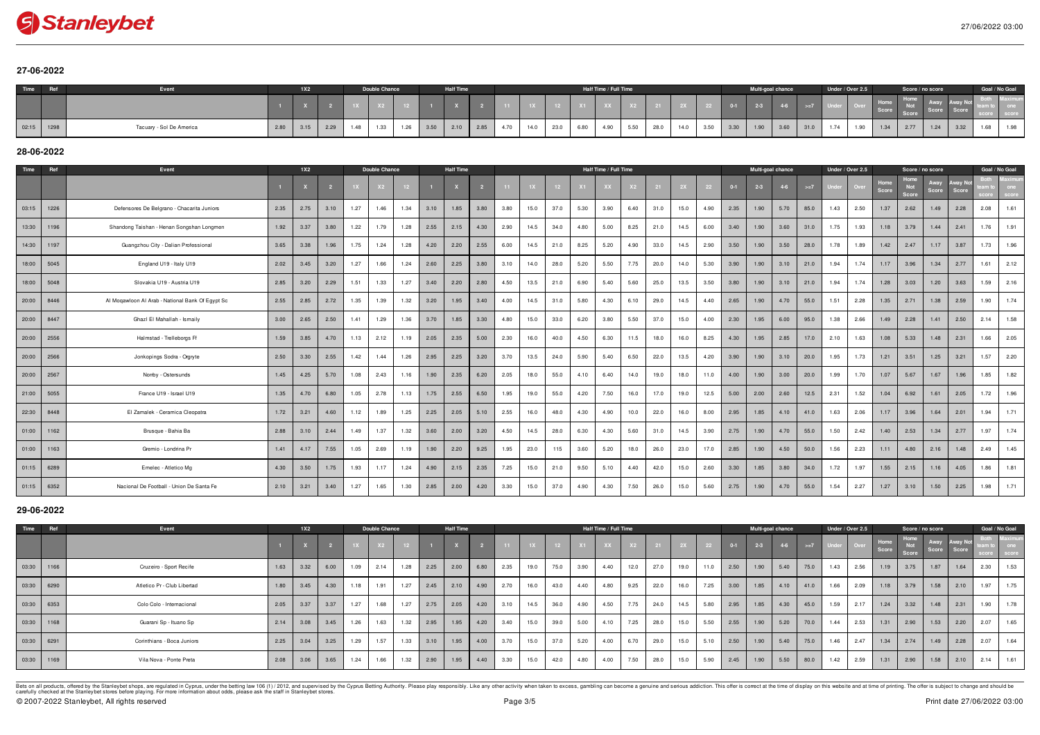# Stanleybet

# **27-06-2022**

| Time  | DAf  | Event                    |      | 1X2  |      |      | Double Chance |      |      | <b>Half Time</b> |      |      |      |              |      | Half Time / Full Time |      |      |      |      |      | Multi-goal chance |      |      | Under / Over 2.5 |            | Score / no score |      |      |      | Goal / No Goal |
|-------|------|--------------------------|------|------|------|------|---------------|------|------|------------------|------|------|------|--------------|------|-----------------------|------|------|------|------|------|-------------------|------|------|------------------|------------|------------------|------|------|------|----------------|
|       |      |                          |      |      |      |      |               |      |      |                  |      |      |      |              |      |                       |      |      |      |      |      |                   |      |      |                  | l H<br>Sco |                  |      |      |      |                |
| 02:15 | 1298 | Tacuary - Sol De America | 2.80 | 3.15 | 2.29 | 1.48 |               | 1.26 | 3.50 | 2.10             | 2.85 | 4.70 | 14.0 | 23.0<br>cu.u | 6.80 | 4.90                  | 5.50 | 28.0 | 14.0 | 3.50 | 3.30 | 1.90              | 3.60 | 31.0 | 1.90             | 1.34       | 2.77             | 1.24 | 3.32 | 1.68 | 1.98           |

# **28-06-2022**

| Time  | Ref  | Event                                            |      | 1X2  |      |      | <b>Double Chance</b> |      |      | <b>Half Time</b> |      |      |      |                 |      | Half Time / Full Time |      |      |      |      |         | Multi-goal chance |         |       |      | Under / Over 2.5 |               | Score / no score     |               |       | Goal / No Goal |      |
|-------|------|--------------------------------------------------|------|------|------|------|----------------------|------|------|------------------|------|------|------|-----------------|------|-----------------------|------|------|------|------|---------|-------------------|---------|-------|------|------------------|---------------|----------------------|---------------|-------|----------------|------|
|       |      |                                                  |      |      |      |      |                      |      |      |                  |      | 11   |      | 12 <sup>2</sup> |      |                       |      |      |      | 22   | $0 - 1$ | $2 - 3$           | $4 - 6$ | $>=7$ |      | Ove              | Home<br>Score | Home<br>Not<br>Score | Away<br>Score | Score |                |      |
| 03:15 | 1226 | Defensores De Belgrano - Chacarita Juniors       | 2.35 | 2.75 | 3.10 | 1.27 | 1.46                 | 1.34 | 3.10 | 1.85             | 3.80 | 3.80 | 15.0 | 37.0            | 5.30 | 3.90                  | 6.40 | 31.0 | 15.0 | 4.90 | 2.35    | 1.90              | 5.70    | 85.0  | 1.43 | 2.50             | 1.37          | 2.62                 | 1.49          | 2.28  | 2.08           | 1.61 |
| 13:30 | 1196 | Shandong Taishan - Henan Songshan Longmen        | 1.92 | 3.37 | 3.80 | 1.22 | 1.79                 | 1.28 | 2.55 | 2.15             | 4.30 | 2.90 | 14.5 | 34.0            | 4.80 | 5.00                  | 8.25 | 21.0 | 14.5 | 6.00 | 3.40    | 1.90              | 3.60    | 31.0  | 1.75 | 1.93             | 1.18          | 3.79                 | 1.44          | 2.41  | 1.76           | 1.91 |
| 14:30 | 1197 | Guangzhou City - Dalian Professional             | 3.65 | 3.38 | 1.96 | 1.75 | 1.24                 | 1.28 | 4.20 | 2.20             | 2.55 | 6.00 | 14.5 | 21.0            | 8.25 | 5.20                  | 4.90 | 33.0 | 14.5 | 2.90 | 3.50    | 1.90              | 3.50    | 28.0  | 1.78 | 1.89             | 1.42          | 2.47                 | 1.17          | 3.87  | 1.73           | 1.96 |
| 18:00 | 5045 | England U19 - Italy U19                          | 2.02 | 3.45 | 3.20 | 1.27 | 1.66                 | 1.24 | 2.60 | 2.25             | 3.80 | 3.10 | 14.0 | 28.0            | 5.20 | 5.50                  | 7.75 | 20.0 | 14.0 | 5.30 | 3.90    | 1.90              | 3.10    | 21.0  | 1.94 | 1.74             | 1.17          | 3.96                 | 1.34          | 2.77  | 1.61           | 2.12 |
| 18:00 | 5048 | Slovakia U19 - Austria U19                       | 2.85 | 3.20 | 2.29 | 1.51 | 1.33                 | 1.27 | 3.40 | 2.20             | 2.80 | 4.50 | 13.5 | 21.0            | 6.90 | 5.40                  | 5.60 | 25.0 | 13.5 | 3.50 | 3.80    | 1.90              | 3.10    | 21.0  | 1.94 | 1.74             | 1.28          | 3.03                 | 1.20          | 3.63  | 1.59           | 2.16 |
| 20:00 | 8446 | Al Mogawloon Al Arab - National Bank Of Egypt Sc | 2.55 | 2.85 | 2.72 | 1.35 | 1.39                 | 1.32 | 3.20 | 1.95             | 3.40 | 4.00 | 14.5 | 31.0            | 5.80 | 4.30                  | 6.10 | 29.0 | 14.5 | 4.40 | 2.65    | 1.90              | 4.70    | 55.0  | 1.51 | 2.28             | 1.35          | 2.71                 | 1.38          | 2.59  | 1.90           | 1.74 |
| 20:00 | 8447 | Ghazl El Mahallah - Ismaily                      | 3.00 | 2.65 | 2.50 | 1.41 | 1.29                 | 1.36 | 3.70 | 1.85             | 3.30 | 4.80 | 15.0 | 33.0            | 6.20 | 3.80                  | 5.50 | 37.0 | 15.0 | 4.00 | 2.30    | 1.95              | 6.00    | 95.0  | 1.38 | 2.66             | 1.49          | 2.28                 | 1.41          | 2.50  | 2.14           | 1.58 |
| 20:00 | 2556 | Halmstad - Trelleborgs Ff                        | 1.59 | 3.85 | 4.70 | 1.13 | 2.12                 | 1.19 | 2.05 | 2.35             | 5.00 | 2.30 | 16.0 | 40.0            | 4.50 | 6.30                  | 11.5 | 18.0 | 16.0 | 8.25 | 4.30    | 1.95              | 2.85    | 17.0  | 2.10 | 1.63             | 1.08          | 5.33                 | 1.48          | 2.31  | 1.66           | 2.05 |
| 20:00 | 2566 | Jonkopings Sodra - Orgryte                       | 2.50 | 3.30 | 2.55 | 1.42 | 1.44                 | 1.26 | 2.95 | 2.25             | 3.20 | 3.70 | 13.5 | 24.0            | 5.90 | 5.40                  | 6.50 | 22.0 | 13.5 | 4.20 | 3.90    | 1.90              | 3.10    | 20.0  | 1.95 | 1.73             | 1.21          | 3.51                 | 1.25          | 3.21  | 1.57           | 2.20 |
| 20:00 | 2567 | Nomby - Ostersunds                               | 1.45 | 4.25 | 5.70 | 1.08 | 2.43                 | 1.16 | 1.90 | 2.35             | 6.20 | 2.05 | 18.0 | 55.0            | 4.10 | 6.40                  | 14.0 | 19.0 | 18.0 | 11.0 | 4.00    | 1.90              | 3.00    | 20.0  | 1.99 | 1.70             | 1.07          | 5.67                 | 1.67          | 1.96  | 1.85           | 1.82 |
| 21:00 | 5055 | France U19 - Israel U19                          | 1.35 | 4.70 | 6.80 | 1.05 | 2.78                 | 1.13 | 1.75 | 2.55             | 6.50 | 1.95 | 19.0 | 55.0            | 4.20 | 7.50                  | 16.0 | 17.0 | 19.0 | 12.5 | 5.00    | 2.00              | 2.60    | 12.5  | 2.31 | 1.52             | 1.04          | 6.92                 | 1.61          | 2.05  | 1.72           | 1.96 |
| 22:30 | 8448 | El Zamalek - Ceramica Cleopatra                  | 1.72 | 3.21 | 4.60 | 1.12 | 1.89                 | 1.25 | 2.25 | 2.05             | 5.10 | 2.55 | 16.0 | 48.0            | 4.30 | 4.90                  | 10.0 | 22.0 | 16.0 | 8.00 | 2.95    | 1.85              | 4.10    | 41.0  | 1.63 | 2.06             | 1.17          | 3.96                 | 1.64          | 2.01  | 1.94           | 1.71 |
| 01:00 | 1162 | Brusque - Bahia Ba                               | 2.88 | 3.10 | 2.44 | 1.49 | 1.37                 | 1.32 | 3.60 | 2.00             | 3.20 | 4.50 | 14.5 | 28.0            | 6.30 | 4.30                  | 5.60 | 31.0 | 14.5 | 3.90 | 2.75    | 1.90              | 4.70    | 55.0  | 1.50 | 2.42             | 1.40          | 2.53                 | 1.34          | 2.77  | 1.97           | 1.74 |
| 01:00 | 1163 | Gremio - Londrina Pr                             | 1.41 | 4.17 | 7.55 | 1.05 | 2.69                 | 1.19 | 1.90 | 2.20             | 9.25 | 1.95 | 23.0 | 115             | 3.60 | 5.20                  | 18.0 | 26.0 | 23.0 | 17.0 | 2.85    | 1.90              | 4.50    | 50.0  | 1.56 | 2.23             | 1.11          | 4.80                 | 2.16          | 1.48  | 2.49           | 1.45 |
| 01:15 | 6289 | Emelec - Atletico Mg                             | 4.30 | 3.50 | 1.75 | 1.93 | 1.17                 | 1.24 | 4.90 | 2.15             | 2.35 | 7.25 | 15.0 | 21.0            | 9.50 | 5.10                  | 4.40 | 42.0 | 15.0 | 2.60 | 3.30    | 1.85              | 3.80    | 34.0  | 1.72 | 1.97             | 1.55          | 2.15                 | 1.16          | 4.05  | 1.86           | 1.81 |
| 01:15 | 6352 | Nacional De Football - Union De Santa Fe         | 2.10 | 3.21 | 3.40 | 1.27 | 1.65                 | 1.30 | 2.85 | 2.00             | 4.20 | 3.30 | 15.0 | 37.0            | 4.90 | 4.30                  | 7.50 | 26.0 | 15.0 | 5.60 | 2.75    | 1.90              | 4.70    | 55.0  | 1.54 | 2.27             | 1.27          | 3.10                 | 1.50          | 2.25  | 1.98           | 1.71 |

## **29-06-2022**

| Time  | Ref  | Event                       |      | 1X2  |                          |      | Double Chance |      |      | <b>Half Time</b> |      |      |       |      |      | Half Time / Full Time |      |                |      |      |       | Multi-goal chance |      |       |            | Under / Over 2.5 |               |                      | Score / no score |       | Goal / No Goal |                                   |
|-------|------|-----------------------------|------|------|--------------------------|------|---------------|------|------|------------------|------|------|-------|------|------|-----------------------|------|----------------|------|------|-------|-------------------|------|-------|------------|------------------|---------------|----------------------|------------------|-------|----------------|-----------------------------------|
|       |      |                             |      |      | $\overline{\phantom{a}}$ | 1X   | X2            |      |      |                  |      |      | $-1X$ |      |      |                       |      | $\frac{1}{21}$ | 2X   | 22   | $0-1$ | $2 - 3$           |      | $>=7$ | Under Over |                  | Home<br>Score | Home<br>Not<br>Score | Score            | Score |                | <b>Contract Contract Contract</b> |
| 03:30 | 1166 | Cruzeiro - Sport Recife     | 1.63 | 3.32 | 6.00                     | 1.09 | 2.14          | 1.28 | 2.25 | 2.00             | 6.80 | 2.35 | 19.0  | 75.0 | 3.90 | 4.40                  | 12.0 | 27.0           | 19.0 | 11.0 | 2.50  | 1.90              | 5.40 | 75.0  | 1.43       | 2.56             | 1.19          | 3.75                 | 1.87             | 1.64  | 2.30           | 1.53                              |
| 03:30 | 6290 | Atletico Pr - Club Libertad | 1.80 | 3.45 | 4.30                     | 1.18 | 1.91          | 1.27 | 2.45 | 2.10             | 4.90 | 2.70 | 16.0  | 43.0 | 4.40 | 4.8 <sup>c</sup>      | 9.25 | 22.0           | 16.0 | 7.25 | 3.00  | 1.85              | 4.10 | 41.0  | 1.66       | 2.09             | 1.18          | 3.79                 | 1.58             | 2.10  | 1.97           | 1.75                              |
| 03:30 | 6353 | Colo Colo - Internacional   | 2.05 | 3.37 | 3.37                     | 1.27 | 1.68          | 1.27 | 2.75 | 2.05             | 4.20 | 3.10 | 14.5  | 36.0 | 4.90 | 4.50                  | 7.75 | 24.0           | 14.5 | 5.80 | 2.95  | 1.85              | 4.30 | 45.0  | 1.59       | 2.17             | 1.24          | 3.32                 | 1.48             | 2.31  | 1.90           | 1.78                              |
| 03:30 | 1168 | Guarani Sp - Ituano Sp      | 2.14 | 3.08 | 3.45                     | 1.26 | 1.63          | 1.32 | 2.95 | 1.95             | 4.20 | 3.40 | 15.0  | 39.0 | 5.00 | 4.10                  | 7.25 | 28.0           | 15.0 | 5.50 | 2.55  | 1.90              | 5.20 | 70.0  | 1.44       | 2.53             | 1.31          | 2.90                 | 1.53             | 2.20  | 2.07           | 1.65                              |
| 03:30 | 6291 | Corinthians - Boca Juniors  | 2.25 | 3.04 | 3.25                     | 1.29 | 1.57          | 1.33 | 3.10 | 1.95             | 4.00 | 3.70 | 15.0  | 37.0 | 5.20 | 4.00                  | 6.70 | 29.0           | 15.0 | 5.10 | 2.50  | 1.90              | 5.40 | 75.0  | 1.46       | 2.47             | 1.34          | 2.74                 | 1.49             | 2.28  | 2.07           | 1.64                              |
| 03:30 | 1169 | Vila Nova - Ponte Preta     | 2.08 | 3.06 | 3.65                     | 1.24 | 1.66          | 1.32 | 2.90 | 1.95             | 4.40 | 3.30 | 15.0  | 42.0 | 4.80 | 4.00                  | 7.50 | 28.0           | 15.0 | 5.90 | 2.45  | 1.90              | 5.50 | 80.0  | 1.42       | 2.59             | 1.31          | 2.90                 | 1.58             | 2.10  | 2.14           | 1.61                              |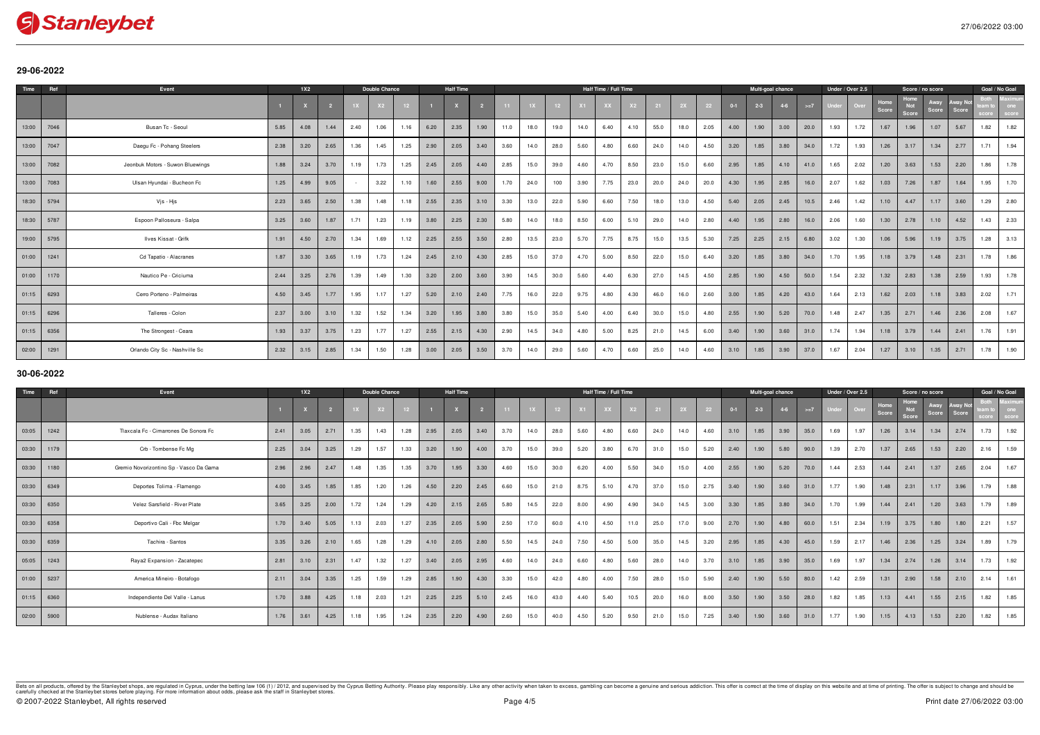

## **29-06-2022**

| Time  | Ref  | Event                            |      | 1X2  |      |      | Double Chance |      |      | <b>Half Time</b> |      |      |      |      |      | Half Time / Full Time |      |      |      |      |         | Multi-goal chance |         |       |      | Under / Over 2.5 |               | Score / no score |               |       | Goal / No Goal |      |
|-------|------|----------------------------------|------|------|------|------|---------------|------|------|------------------|------|------|------|------|------|-----------------------|------|------|------|------|---------|-------------------|---------|-------|------|------------------|---------------|------------------|---------------|-------|----------------|------|
|       |      |                                  |      |      |      |      |               |      |      |                  |      |      |      |      |      |                       |      |      |      |      | $0 - 1$ | $2 - 3$           | $4 - 6$ | $>=7$ |      | Ove              | Home<br>Score | Not<br>Score     | Away<br>Score | Score |                |      |
| 13:00 | 7046 | Busan Tc - Seoul                 | 5.85 | 4.08 | 1.44 | 2.40 | 1.06          | 1.16 | 6.20 | 2.35             | 1.90 | 11.0 | 18.0 | 19.0 | 14.0 | 6.40                  | 4.10 | 55.0 | 18.0 | 2.05 | 4.00    | 1.90              | 3.00    | 20.0  | 1.93 | 1.72             | 1.67          | 1.96             | 1.07          | 5.67  | 1.82           | 1.82 |
| 13:00 | 7047 | Daegu Fc - Pohang Steelers       | 2.38 | 3.20 | 2.65 | 1.36 | 1.45          | 1.25 | 2.90 | 2.05             | 3.40 | 3.60 | 14.0 | 28.0 | 5.60 | 4.80                  | 6.60 | 24.0 | 14.0 | 4.50 | 3.20    | 1.85              | 3.80    | 34.0  | 1.72 | 1.93             | 1.26          | 3.17             | 1.34          | 2.77  | 1.71           | 1.94 |
| 13:00 | 7082 | Jeonbuk Motors - Suwon Bluewings | 1.88 | 3.24 | 3.70 | 1.19 | 1.73          | 1.25 | 2.45 | 2.05             | 4.40 | 2.85 | 15.0 | 39.0 | 4.60 | 4.70                  | 8.50 | 23.0 | 15.0 | 6.60 | 2.95    | 1.85              | 4.10    | 41.0  | 1.65 | 2.02             | 1.20          | 3.63             | 1.53          | 2.20  | 1.86           | 1.78 |
| 13:00 | 7083 | Ulsan Hyundai - Bucheon Fc       | 1.25 | 4.99 | 9.05 |      | 3.22          | 1.10 | 1.60 | 2.55             | 9.00 | 1.70 | 24.0 | 100  | 3.90 | 7.75                  | 23.0 | 20.0 | 24.0 | 20.0 | 4.30    | 1.95              | 2.85    | 16.0  | 2.07 | 1.62             | 1.03          | 7.26             | 1.87          | 1.64  | 1.95           | 1.70 |
| 18:30 | 5794 | Vjs - Hjs                        | 2.23 | 3.65 | 2.50 | 1.38 | 1.48          | 1.18 | 2.55 | 2.35             | 3.10 | 3.30 | 13.0 | 22.0 | 5.90 | 6.60                  | 7.50 | 18.0 | 13.0 | 4.50 | 5.40    | 2.05              | 2.45    | 10.5  | 2.46 | 1.42             | 1.10          | 4.47             | 1.17          | 3.60  | 1.29           | 2.80 |
| 18:30 | 5787 | Espoon Palloseura - Salpa        | 3.25 | 3.60 | 1.87 | 1.71 | 1.23          | 1.19 | 3.80 | 2.25             | 2.30 | 5.80 | 14.0 | 18.0 | 8.50 | 6.00                  | 5.10 | 29.0 | 14.0 | 2.80 | 4.40    | 1.95              | 2.80    | 16.0  | 2.06 | 1.60             | 1.30          | 2.78             | 1.10          | 4.52  | 1.43           | 2.33 |
| 19:00 | 5795 | Ilves Kissat - Grifk             | 1.91 | 4.50 | 2.70 | 1.34 | 1.69          | 1.12 | 2.25 | 2.55             | 3.50 | 2.80 | 13.5 | 23.0 | 5.70 | 7.75                  | 8.75 | 15.0 | 13.5 | 5.30 | 7.25    | 2.25              | 2.15    | 6.80  | 3.02 | 1.30             | 1.06          | 5.96             | 1.19          | 3.75  | 1.28           | 3.13 |
| 01:00 | 1241 | Cd Tapatio - Alacranes           | 1.87 | 3.30 | 3.65 | 1.19 | 1.73          | 1.24 | 2.45 | 2.10             | 4.30 | 2.85 | 15.0 | 37.0 | 4.70 | 5.00                  | 8.50 | 22.0 | 15.0 | 6.40 | 3.20    | 1.85              | 3.80    | 34.0  | 1.70 | 1.95             | 1.18          | 3.79             | 1.48          | 2.31  | 1.78           | 1.86 |
| 01:00 | 1170 | Nautico Pe - Criciuma            | 2.44 | 3.25 | 2.76 | 1.39 | 1.49          | 1.30 | 3.20 | 2.00             | 3.60 | 3.90 | 14.5 | 30.0 | 5.60 | 4.40                  | 6.30 | 27.0 | 14.5 | 4.50 | 2.85    | 1.90              | 4.50    | 50.0  | 1.54 | 2.32             | 1.32          | 2.83             | 1.38          | 2.59  | 1.93           | 1.78 |
| 01:15 | 6293 | Cerro Porteno - Palmeiras        | 4.50 | 3.45 | 1.77 | 1.95 | 1.17          | 1.27 | 5.20 | 2.10             | 2.40 | 7.75 | 16.0 | 22.0 | 9.75 | 4.80                  | 4.30 | 46.0 | 16.0 | 2.60 | 3.00    | 1.85              | 4.20    | 43.0  | 1.64 | 2.13             | 1.62          | 2.03             | 1.18          | 3.83  | 2.02           | 1.71 |
| 01:15 | 6296 | Talleres - Colon                 | 2.37 | 3.00 | 3.10 | 1.32 | 1.52          | 1.34 | 3.20 | 1.95             | 3.80 | 3.80 | 15.0 | 35.0 | 5.40 | 4.00                  | 6.40 | 30.0 | 15.0 | 4.80 | 2.55    | 1.90              | 5.20    | 70.0  | 1.48 | 2.47             | 1.35          | 2.71             | 1.46          | 2.36  | 2.08           | 1.67 |
| 01:15 | 6356 | The Strongest - Ceara            | 1.93 | 3.37 | 3.75 | 1.23 | 1.77          | 1.27 | 2.55 | 2.15             | 4.30 | 2.90 | 14.5 | 34.0 | 4.80 | 5.00                  | 8.25 | 21.0 | 14.5 | 6.00 | 3.40    | 1.90              | 3.60    | 31.0  | 1.74 | 1.94             | 1.18          | 3.79             | 1.44          | 2.41  | 1.76           | 1.91 |
| 02:00 | 1291 | Orlando City Sc - Nashville Sc   | 2.32 | 3.15 | 2.85 | 1.34 | 1.50          | 1.28 | 3.00 | 2.05             | 3.50 | 3.70 | 14.0 | 29.0 | 5.60 | 4.70                  | 6.60 | 25.0 | 14.0 | 4.60 | 3.10    | 1.85              | 3.90    | 37.0  | 1.67 | 2.04             | 1.27          | 3.10             | 1.35          | 2.71  | 1.78           | 1.90 |

## **30-06-2022**

| Time  | Ref  | Event                                   |      | 1X2  |                |      | <b>Double Chance</b> |      |      | <b>Half Time</b> |      |      |      |      |      | Half Time / Full Time |      |      |      |      |         | Multi-goal chance |       |      | Under / Over 2.5 |      |               | Score / no score            |               |       | Goal / No Goal |      |
|-------|------|-----------------------------------------|------|------|----------------|------|----------------------|------|------|------------------|------|------|------|------|------|-----------------------|------|------|------|------|---------|-------------------|-------|------|------------------|------|---------------|-----------------------------|---------------|-------|----------------|------|
|       |      |                                         |      |      | $\overline{2}$ |      |                      |      |      |                  |      |      |      |      |      |                       |      |      |      | 22   | $0 - 1$ | $2 - 3$           | $4-6$ | >1   |                  | Over | Home<br>Score | Home<br><b>Not</b><br>Score | Away<br>Score | Score |                |      |
| 03:05 | 1242 | Tlaxcala Fc - Cimarrones De Sonora Fc   | 2.41 | 3.05 | 2.71           | 1.35 | 1.43                 | 1.28 | 2.95 | 2.05             | 3.40 | 3.70 | 14.0 | 28.0 | 5.60 | 4.80                  | 6.60 | 24.0 | 14.0 | 4.60 | 3.10    | 1.85              | 3.90  | 35.0 | 1.69             | 1.97 | 1.26          | 3.14                        | 1.34          | 2.74  | 1.73           | 1.92 |
| 03:30 | 1179 | Crb - Tombense Fc Mg                    | 2.25 | 3.04 | 3.25           | 1.29 | 1.57                 | 1.33 | 3.20 | 1.90             | 4.00 | 3.70 | 15.0 | 39.0 | 5.20 | 3.80                  | 6.70 | 31.0 | 15.0 | 5.20 | 2.40    | 1.90              | 5.80  | 90.0 | 1.39             | 2.70 | 1.37          | 2.65                        | 1.53          | 2.20  | 2.16           | 1.59 |
| 03:30 | 1180 | Gremio Novorizontino Sp - Vasco Da Gama | 2.96 | 2.96 | 2.47           | 1.48 | 1.35                 | 1.35 | 3.70 | 1.95             | 3.30 | 4.60 | 15.0 | 30.0 | 6.20 | 4.00                  | 5.50 | 34.0 | 15.0 | 4.00 | 2.55    | 1.90              | 5.20  | 70.0 | 1.44             | 2.53 | 1.44          | 2.41                        | 1.37          | 2.65  | 2.04           | 1.67 |
| 03:30 | 6349 | Deportes Tolima - Flamengo              | 4.00 | 3.45 | 1.85           | 1.85 | 1.20                 | 1.26 | 4.50 | 2.20             | 2.45 | 6.60 | 15.0 | 21.0 | 8.75 | 5.10                  | 4.70 | 37.0 | 15.0 | 2.75 | 3.40    | 1.90              | 3.60  | 31.0 | 1.77             | 1.90 | 1.48          | 2.31                        | 1.17          | 3.96  | 1.79           | 1.88 |
| 03:30 | 6350 | Velez Sarsfield - River Plate           | 3.65 | 3.25 | 2.00           | 1.72 | 1.24                 | 1.29 | 4.20 | 2.15             | 2.65 | 5.80 | 14.5 | 22.0 | 8.00 | 4.90                  | 4.90 | 34 O | 14.5 | 3.00 | 3.30    | 1.85              | 3.80  | 34.0 | 1.70             | 1.99 | 1.44          | 2.41                        | 1.20          | 3.63  | 1.79           | 1.89 |
| 03:30 | 6358 | Deportivo Cali - Fbc Melgar             | 1.70 | 3.40 | 5.05           | 1.13 | 2.03                 | 1.27 | 2.35 | 2.05             | 5.90 | 2.50 | 17.0 | 60.0 | 4.10 | 4.50                  | 11.0 | 25.0 | 17.0 | 9.00 | 2.70    | 1.90              | 4.80  | 60.0 | 1.51             | 2.34 | 1.19          | 3.75                        | 1.80          | 1.80  | 2.21           | 1.57 |
| 03:30 | 6359 | Tachira - Santos                        | 3.35 | 3.26 | 2.10           | 1.65 | 1.28                 | 1.29 | 4.10 | 2.05             | 2.80 | 5.50 | 14.5 | 24.0 | 7.50 | 4.50                  | 5.00 | 35.0 | 14.5 | 3.20 | 2.95    | 1.85              | 4.30  | 45.0 | 1.59             | 2.17 | 1.46          | 2.36                        | 1.25          | 3.24  | 1.89           | 1.79 |
| 05:05 | 1243 | Raya2 Expansion - Zacatepec             | 2.81 | 3.10 | 2.31           | 1.47 | 1.32                 | 1.27 | 3.40 | 2.05             | 2.95 | 4.60 | 14.0 | 24.0 | 6.60 | 4.80                  | 5.60 | 28.0 | 14.0 | 3.70 | 3.10    | 1.85              | 3.90  | 35.0 | 1.69             | 1.97 | 1.34          | 2.74                        | 1.26          | 3.14  | 1.73           | 1.92 |
| 01:00 | 5237 | America Mineiro - Botafogo              | 2.11 | 3.04 | 3.35           | 1.25 | 1.59                 | 1.29 | 2.85 | 1.90             | 4.30 | 3.30 | 15.0 | 42.0 | 4.80 | 4.00                  | 7.50 | 28.0 | 15.0 | 5.90 | 2.40    | 1.90              | 5.50  | 80.0 | 1.42             | 2.59 | 1.31          | 2.90                        | 1.58          | 2.10  | 2.14           | 1.61 |
| 01:15 | 6360 | Independiente Del Valle - Lanus         | 1.70 | 3.88 | 4.25           | 1.18 | 2.03                 | 1.21 | 2.25 | 2.25             | 5.10 | 2.45 | 16.0 | 43.0 | 4.40 | 5.40                  | 10.5 | 20.0 | 16.0 | 8.00 | 3.50    | 1.90              | 3.50  | 28.0 | 1.82             | 1.85 | 1.13          | 4.41                        | 1.55          | 2.15  | 1.82           | 1.85 |
| 02:00 | 5900 | Nublense - Audax Italiano               | 1.76 | 3.61 | 4.25           | 1.18 | 1.95                 | 1.24 | 2.35 | 2.20             | 4.90 | 2.60 | 15.0 | 40.0 | 4.50 | 5.20                  | 9.50 | 21.0 | 15.0 | 7.25 | 3.40    | 1.90              | 3.60  | 31.0 | 1.77             | 1.90 | 1.15          | 4.13                        | 1.53          | 2.20  | 1.82           | 1.85 |